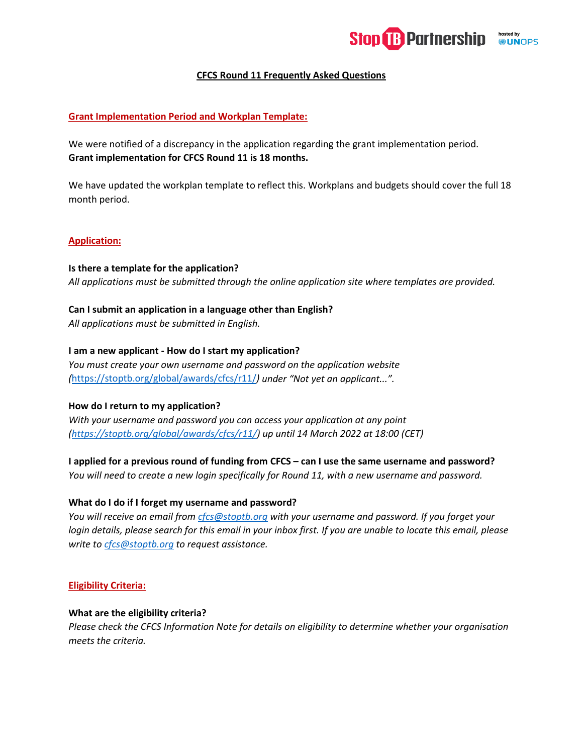

# **CFCS Round 11 Frequently Asked Questions**

# **Grant Implementation Period and Workplan Template:**

We were notified of a discrepancy in the application regarding the grant implementation period. **Grant implementation for CFCS Round 11 is 18 months.**

We have updated the workplan template to reflect this. Workplans and budgets should cover the full 18 month period.

### **Application:**

**Is there a template for the application?** *All applications must be submitted through the online application site where templates are provided.*

### **Can I submit an application in a language other than English?**

*All applications must be submitted in English.*

### **I am a new applicant - How do I start my application?**

*You must create your own username and password on the application website (*<https://stoptb.org/global/awards/cfcs/r11/>*) under "Not yet an applicant...".*

#### **How do I return to my application?**

*With your username and password you can access your application at any point [\(https://stoptb.org/global/awards/cfcs/r11/\)](https://stoptb.org/global/awards/cfcs/r11/) up until 14 March 2022 at 18:00 (CET)*

**I applied for a previous round of funding from CFCS – can I use the same username and password?** *You will need to create a new login specifically for Round 11, with a new username and password.*

# **What do I do if I forget my username and password?**

*You will receive an email from [cfcs@stoptb.org](mailto:cfcs@stoptb.org) with your username and password. If you forget your login details, please search for this email in your inbox first. If you are unable to locate this email, please write t[o cfcs@stoptb.org](mailto:cfcs@stoptb.org) to request assistance.*

## **Eligibility Criteria:**

#### **What are the eligibility criteria?**

*Please check the CFCS Information Note for details on eligibility to determine whether your organisation meets the criteria.*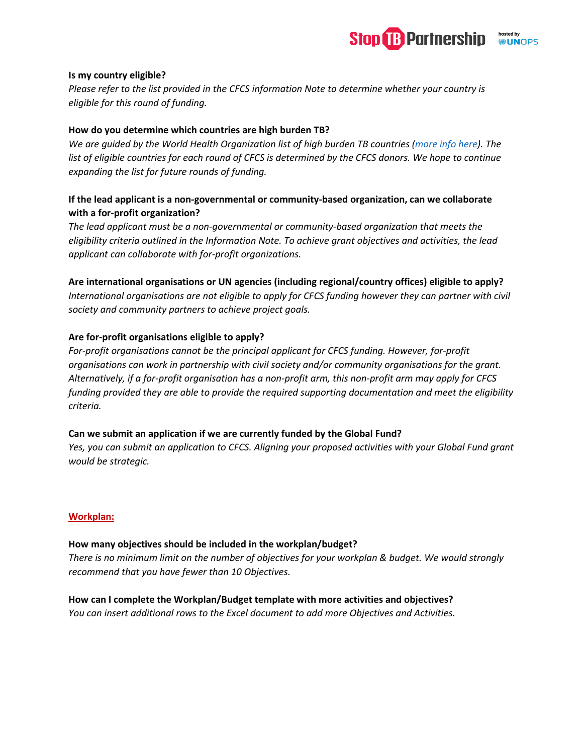

## **Is my country eligible?**

*Please refer to the list provided in the CFCS information Note to determine whether your country is eligible for this round of funding.*

## **How do you determine which countries are high burden TB?**

*We are guided by the World Health Organization list of high burden TB countries [\(more info here\)](https://cdn.who.int/media/docs/default-source/hq-tuberculosis/who_globalhbcliststb_2021-2025_backgrounddocument.pdf?sfvrsn=f6b854c2_9). The*  list of eligible countries for each round of CFCS is determined by the CFCS donors. We hope to continue *expanding the list for future rounds of funding.* 

# **If the lead applicant is a non-governmental or community-based organization, can we collaborate with a for-profit organization?**

*The lead applicant must be a non-governmental or community-based organization that meets the eligibility criteria outlined in the Information Note. To achieve grant objectives and activities, the lead applicant can collaborate with for-profit organizations.*

# **Are international organisations or UN agencies (including regional/country offices) eligible to apply?**

*International organisations are not eligible to apply for CFCS funding however they can partner with civil society and community partners to achieve project goals.*

# **Are for-profit organisations eligible to apply?**

*For-profit organisations cannot be the principal applicant for CFCS funding. However, for-profit organisations can work in partnership with civil society and/or community organisations for the grant. Alternatively, if a for-profit organisation has a non-profit arm, this non-profit arm may apply for CFCS funding provided they are able to provide the required supporting documentation and meet the eligibility criteria.*

### **Can we submit an application if we are currently funded by the Global Fund?**

*Yes, you can submit an application to CFCS. Aligning your proposed activities with your Global Fund grant would be strategic.*

# **Workplan:**

### **How many objectives should be included in the workplan/budget?**

*There is no minimum limit on the number of objectives for your workplan & budget. We would strongly recommend that you have fewer than 10 Objectives.*

### **How can I complete the Workplan/Budget template with more activities and objectives?**

*You can insert additional rows to the Excel document to add more Objectives and Activities.*